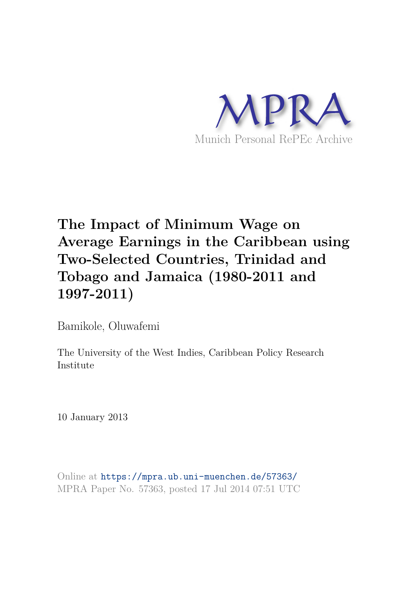

# **The Impact of Minimum Wage on Average Earnings in the Caribbean using Two-Selected Countries, Trinidad and Tobago and Jamaica (1980-2011 and 1997-2011)**

Bamikole, Oluwafemi

The University of the West Indies, Caribbean Policy Research Institute

10 January 2013

Online at https://mpra.ub.uni-muenchen.de/57363/ MPRA Paper No. 57363, posted 17 Jul 2014 07:51 UTC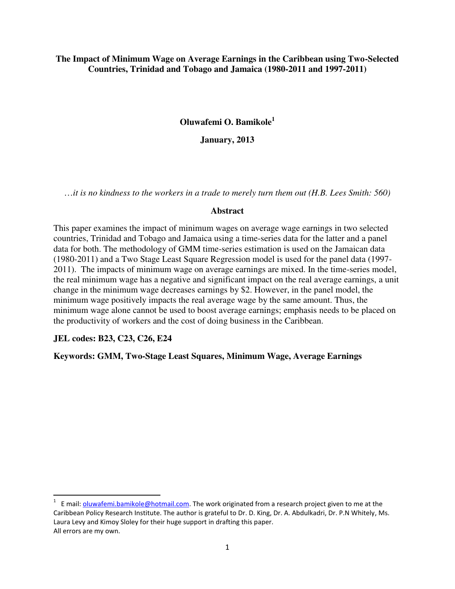**The Impact of Minimum Wage on Average Earnings in the Caribbean using Two-Selected Countries, Trinidad and Tobago and Jamaica (1980-2011 and 1997-2011)** 

**Oluwafemi O. Bamikole<sup>1</sup>**

**January, 2013** 

…*it is no kindness to the workers in a trade to merely turn them out (H.B. Lees Smith: 560)* 

#### **Abstract**

This paper examines the impact of minimum wages on average wage earnings in two selected countries, Trinidad and Tobago and Jamaica using a time-series data for the latter and a panel data for both. The methodology of GMM time-series estimation is used on the Jamaican data (1980-2011) and a Two Stage Least Square Regression model is used for the panel data (1997- 2011). The impacts of minimum wage on average earnings are mixed. In the time-series model, the real minimum wage has a negative and significant impact on the real average earnings, a unit change in the minimum wage decreases earnings by \$2. However, in the panel model, the minimum wage positively impacts the real average wage by the same amount. Thus, the minimum wage alone cannot be used to boost average earnings; emphasis needs to be placed on the productivity of workers and the cost of doing business in the Caribbean.

**JEL codes: B23, C23, C26, E24** 

l

**Keywords: GMM, Two-Stage Least Squares, Minimum Wage, Average Earnings** 

<sup>&</sup>lt;sup>1</sup> E mail: <u>oluwafemi.bamikole@hotmail.com</u>. The work originated from a research project given to me at the Caribbean Policy Research Institute. The author is grateful to Dr. D. King, Dr. A. Abdulkadri, Dr. P.N Whitely, Ms. Laura Levy and Kimoy Sloley for their huge support in drafting this paper. All errors are my own.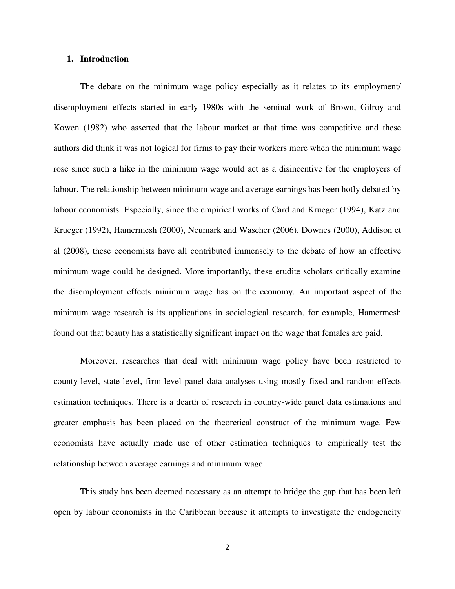#### **1. Introduction**

 The debate on the minimum wage policy especially as it relates to its employment/ disemployment effects started in early 1980s with the seminal work of Brown, Gilroy and Kowen (1982) who asserted that the labour market at that time was competitive and these authors did think it was not logical for firms to pay their workers more when the minimum wage rose since such a hike in the minimum wage would act as a disincentive for the employers of labour. The relationship between minimum wage and average earnings has been hotly debated by labour economists. Especially, since the empirical works of Card and Krueger (1994), Katz and Krueger (1992), Hamermesh (2000), Neumark and Wascher (2006), Downes (2000), Addison et al (2008), these economists have all contributed immensely to the debate of how an effective minimum wage could be designed. More importantly, these erudite scholars critically examine the disemployment effects minimum wage has on the economy. An important aspect of the minimum wage research is its applications in sociological research, for example, Hamermesh found out that beauty has a statistically significant impact on the wage that females are paid.

 Moreover, researches that deal with minimum wage policy have been restricted to county-level, state-level, firm-level panel data analyses using mostly fixed and random effects estimation techniques. There is a dearth of research in country-wide panel data estimations and greater emphasis has been placed on the theoretical construct of the minimum wage. Few economists have actually made use of other estimation techniques to empirically test the relationship between average earnings and minimum wage.

This study has been deemed necessary as an attempt to bridge the gap that has been left open by labour economists in the Caribbean because it attempts to investigate the endogeneity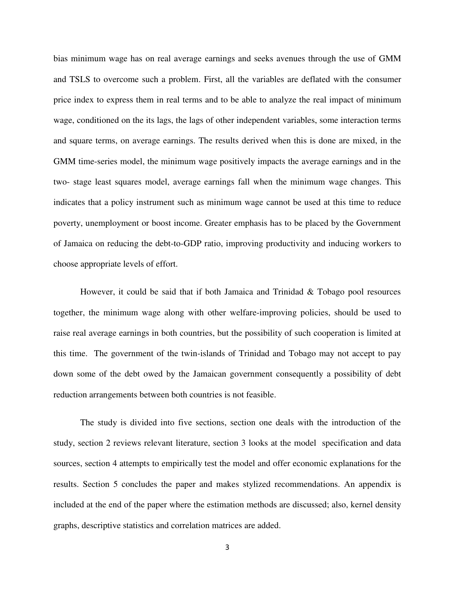bias minimum wage has on real average earnings and seeks avenues through the use of GMM and TSLS to overcome such a problem. First, all the variables are deflated with the consumer price index to express them in real terms and to be able to analyze the real impact of minimum wage, conditioned on the its lags, the lags of other independent variables, some interaction terms and square terms, on average earnings. The results derived when this is done are mixed, in the GMM time-series model, the minimum wage positively impacts the average earnings and in the two- stage least squares model, average earnings fall when the minimum wage changes. This indicates that a policy instrument such as minimum wage cannot be used at this time to reduce poverty, unemployment or boost income. Greater emphasis has to be placed by the Government of Jamaica on reducing the debt-to-GDP ratio, improving productivity and inducing workers to choose appropriate levels of effort.

However, it could be said that if both Jamaica and Trinidad & Tobago pool resources together, the minimum wage along with other welfare-improving policies, should be used to raise real average earnings in both countries, but the possibility of such cooperation is limited at this time. The government of the twin-islands of Trinidad and Tobago may not accept to pay down some of the debt owed by the Jamaican government consequently a possibility of debt reduction arrangements between both countries is not feasible.

 The study is divided into five sections, section one deals with the introduction of the study, section 2 reviews relevant literature, section 3 looks at the model specification and data sources, section 4 attempts to empirically test the model and offer economic explanations for the results. Section 5 concludes the paper and makes stylized recommendations. An appendix is included at the end of the paper where the estimation methods are discussed; also, kernel density graphs, descriptive statistics and correlation matrices are added.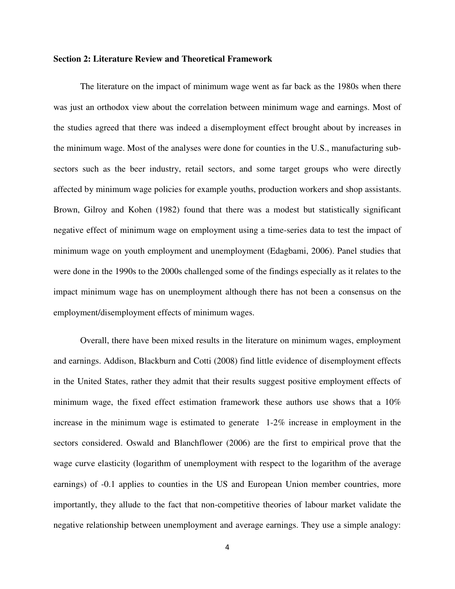#### **Section 2: Literature Review and Theoretical Framework**

 The literature on the impact of minimum wage went as far back as the 1980s when there was just an orthodox view about the correlation between minimum wage and earnings. Most of the studies agreed that there was indeed a disemployment effect brought about by increases in the minimum wage. Most of the analyses were done for counties in the U.S., manufacturing subsectors such as the beer industry, retail sectors, and some target groups who were directly affected by minimum wage policies for example youths, production workers and shop assistants. Brown, Gilroy and Kohen (1982) found that there was a modest but statistically significant negative effect of minimum wage on employment using a time-series data to test the impact of minimum wage on youth employment and unemployment (Edagbami, 2006). Panel studies that were done in the 1990s to the 2000s challenged some of the findings especially as it relates to the impact minimum wage has on unemployment although there has not been a consensus on the employment/disemployment effects of minimum wages.

 Overall, there have been mixed results in the literature on minimum wages, employment and earnings. Addison, Blackburn and Cotti (2008) find little evidence of disemployment effects in the United States, rather they admit that their results suggest positive employment effects of minimum wage, the fixed effect estimation framework these authors use shows that a 10% increase in the minimum wage is estimated to generate 1-2% increase in employment in the sectors considered. Oswald and Blanchflower (2006) are the first to empirical prove that the wage curve elasticity (logarithm of unemployment with respect to the logarithm of the average earnings) of -0.1 applies to counties in the US and European Union member countries, more importantly, they allude to the fact that non-competitive theories of labour market validate the negative relationship between unemployment and average earnings. They use a simple analogy: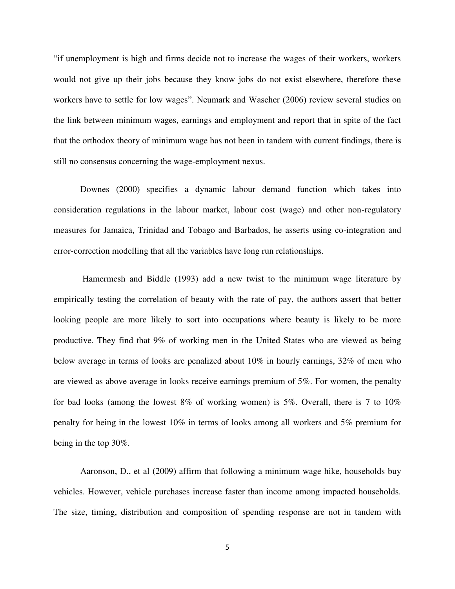"if unemployment is high and firms decide not to increase the wages of their workers, workers would not give up their jobs because they know jobs do not exist elsewhere, therefore these workers have to settle for low wages". Neumark and Wascher (2006) review several studies on the link between minimum wages, earnings and employment and report that in spite of the fact that the orthodox theory of minimum wage has not been in tandem with current findings, there is still no consensus concerning the wage-employment nexus.

Downes (2000) specifies a dynamic labour demand function which takes into consideration regulations in the labour market, labour cost (wage) and other non-regulatory measures for Jamaica, Trinidad and Tobago and Barbados, he asserts using co-integration and error-correction modelling that all the variables have long run relationships.

 Hamermesh and Biddle (1993) add a new twist to the minimum wage literature by empirically testing the correlation of beauty with the rate of pay, the authors assert that better looking people are more likely to sort into occupations where beauty is likely to be more productive. They find that 9% of working men in the United States who are viewed as being below average in terms of looks are penalized about 10% in hourly earnings, 32% of men who are viewed as above average in looks receive earnings premium of 5%. For women, the penalty for bad looks (among the lowest  $8\%$  of working women) is  $5\%$ . Overall, there is 7 to  $10\%$ penalty for being in the lowest 10% in terms of looks among all workers and 5% premium for being in the top 30%.

Aaronson, D., et al (2009) affirm that following a minimum wage hike, households buy vehicles. However, vehicle purchases increase faster than income among impacted households. The size, timing, distribution and composition of spending response are not in tandem with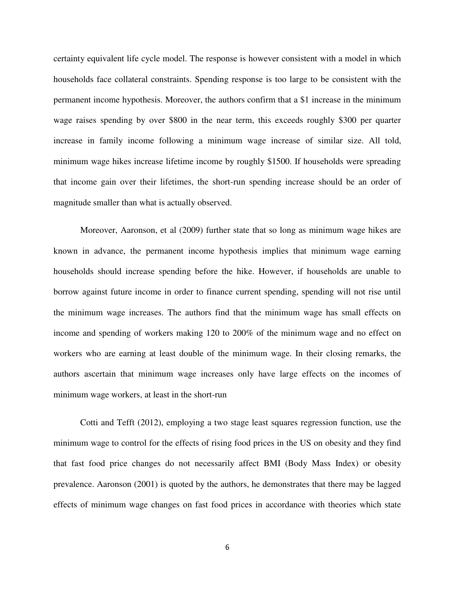certainty equivalent life cycle model. The response is however consistent with a model in which households face collateral constraints. Spending response is too large to be consistent with the permanent income hypothesis. Moreover, the authors confirm that a \$1 increase in the minimum wage raises spending by over \$800 in the near term, this exceeds roughly \$300 per quarter increase in family income following a minimum wage increase of similar size. All told, minimum wage hikes increase lifetime income by roughly \$1500. If households were spreading that income gain over their lifetimes, the short-run spending increase should be an order of magnitude smaller than what is actually observed.

Moreover, Aaronson, et al (2009) further state that so long as minimum wage hikes are known in advance, the permanent income hypothesis implies that minimum wage earning households should increase spending before the hike. However, if households are unable to borrow against future income in order to finance current spending, spending will not rise until the minimum wage increases. The authors find that the minimum wage has small effects on income and spending of workers making 120 to 200% of the minimum wage and no effect on workers who are earning at least double of the minimum wage. In their closing remarks, the authors ascertain that minimum wage increases only have large effects on the incomes of minimum wage workers, at least in the short-run

Cotti and Tefft (2012), employing a two stage least squares regression function, use the minimum wage to control for the effects of rising food prices in the US on obesity and they find that fast food price changes do not necessarily affect BMI (Body Mass Index) or obesity prevalence. Aaronson (2001) is quoted by the authors, he demonstrates that there may be lagged effects of minimum wage changes on fast food prices in accordance with theories which state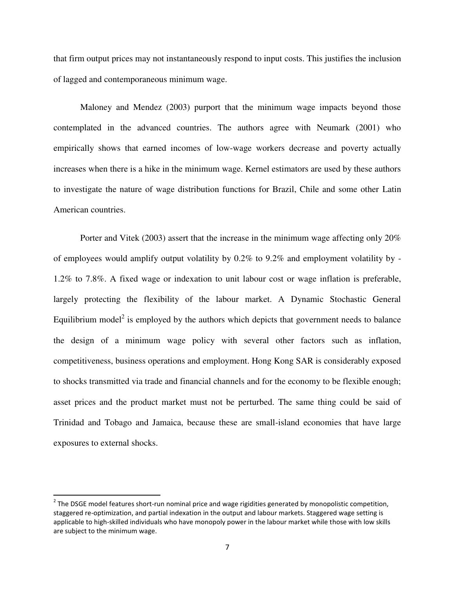that firm output prices may not instantaneously respond to input costs. This justifies the inclusion of lagged and contemporaneous minimum wage.

Maloney and Mendez (2003) purport that the minimum wage impacts beyond those contemplated in the advanced countries. The authors agree with Neumark (2001) who empirically shows that earned incomes of low-wage workers decrease and poverty actually increases when there is a hike in the minimum wage. Kernel estimators are used by these authors to investigate the nature of wage distribution functions for Brazil, Chile and some other Latin American countries.

Porter and Vitek (2003) assert that the increase in the minimum wage affecting only 20% of employees would amplify output volatility by 0.2% to 9.2% and employment volatility by - 1.2% to 7.8%. A fixed wage or indexation to unit labour cost or wage inflation is preferable, largely protecting the flexibility of the labour market. A Dynamic Stochastic General Equilibrium model<sup>2</sup> is employed by the authors which depicts that government needs to balance the design of a minimum wage policy with several other factors such as inflation, competitiveness, business operations and employment. Hong Kong SAR is considerably exposed to shocks transmitted via trade and financial channels and for the economy to be flexible enough; asset prices and the product market must not be perturbed. The same thing could be said of Trinidad and Tobago and Jamaica, because these are small-island economies that have large exposures to external shocks.

l

 $2$  The DSGE model features short-run nominal price and wage rigidities generated by monopolistic competition, staggered re-optimization, and partial indexation in the output and labour markets. Staggered wage setting is applicable to high-skilled individuals who have monopoly power in the labour market while those with low skills are subject to the minimum wage.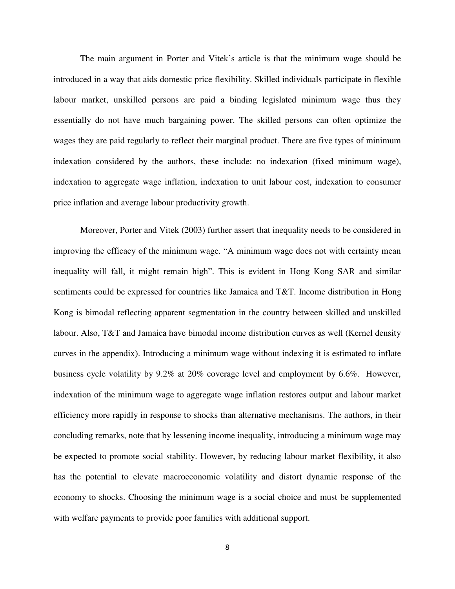The main argument in Porter and Vitek's article is that the minimum wage should be introduced in a way that aids domestic price flexibility. Skilled individuals participate in flexible labour market, unskilled persons are paid a binding legislated minimum wage thus they essentially do not have much bargaining power. The skilled persons can often optimize the wages they are paid regularly to reflect their marginal product. There are five types of minimum indexation considered by the authors, these include: no indexation (fixed minimum wage), indexation to aggregate wage inflation, indexation to unit labour cost, indexation to consumer price inflation and average labour productivity growth.

Moreover, Porter and Vitek (2003) further assert that inequality needs to be considered in improving the efficacy of the minimum wage. "A minimum wage does not with certainty mean inequality will fall, it might remain high". This is evident in Hong Kong SAR and similar sentiments could be expressed for countries like Jamaica and T&T. Income distribution in Hong Kong is bimodal reflecting apparent segmentation in the country between skilled and unskilled labour. Also, T&T and Jamaica have bimodal income distribution curves as well (Kernel density curves in the appendix). Introducing a minimum wage without indexing it is estimated to inflate business cycle volatility by 9.2% at 20% coverage level and employment by 6.6%. However, indexation of the minimum wage to aggregate wage inflation restores output and labour market efficiency more rapidly in response to shocks than alternative mechanisms. The authors, in their concluding remarks, note that by lessening income inequality, introducing a minimum wage may be expected to promote social stability. However, by reducing labour market flexibility, it also has the potential to elevate macroeconomic volatility and distort dynamic response of the economy to shocks. Choosing the minimum wage is a social choice and must be supplemented with welfare payments to provide poor families with additional support.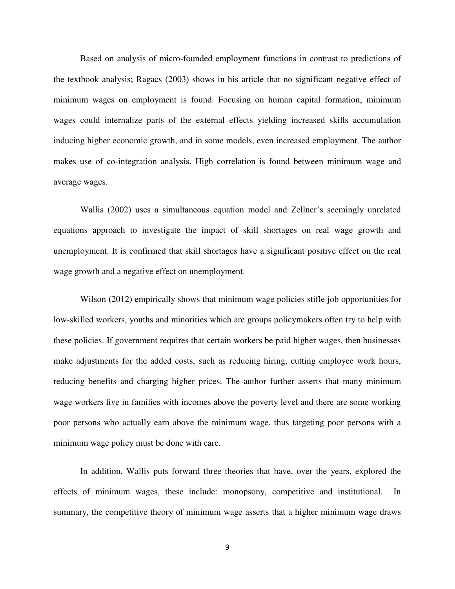Based on analysis of micro-founded employment functions in contrast to predictions of the textbook analysis; Ragacs (2003) shows in his article that no significant negative effect of minimum wages on employment is found. Focusing on human capital formation, minimum wages could internalize parts of the external effects yielding increased skills accumulation inducing higher economic growth, and in some models, even increased employment. The author makes use of co-integration analysis. High correlation is found between minimum wage and average wages.

Wallis (2002) uses a simultaneous equation model and Zellner's seemingly unrelated equations approach to investigate the impact of skill shortages on real wage growth and unemployment. It is confirmed that skill shortages have a significant positive effect on the real wage growth and a negative effect on unemployment.

Wilson (2012) empirically shows that minimum wage policies stifle job opportunities for low-skilled workers, youths and minorities which are groups policymakers often try to help with these policies. If government requires that certain workers be paid higher wages, then businesses make adjustments for the added costs, such as reducing hiring, cutting employee work hours, reducing benefits and charging higher prices. The author further asserts that many minimum wage workers live in families with incomes above the poverty level and there are some working poor persons who actually earn above the minimum wage, thus targeting poor persons with a minimum wage policy must be done with care.

In addition, Wallis puts forward three theories that have, over the years, explored the effects of minimum wages, these include: monopsony, competitive and institutional. In summary, the competitive theory of minimum wage asserts that a higher minimum wage draws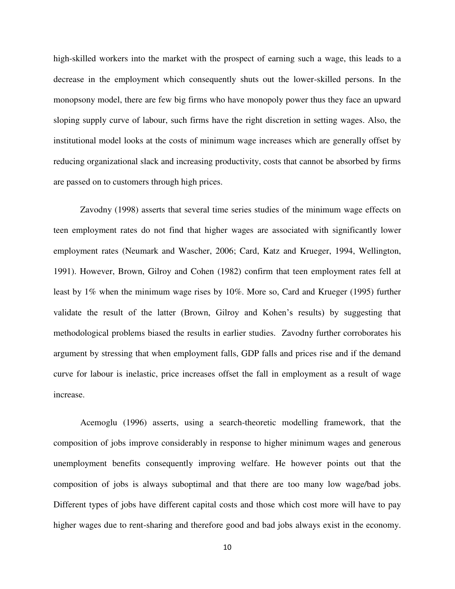high-skilled workers into the market with the prospect of earning such a wage, this leads to a decrease in the employment which consequently shuts out the lower-skilled persons. In the monopsony model, there are few big firms who have monopoly power thus they face an upward sloping supply curve of labour, such firms have the right discretion in setting wages. Also, the institutional model looks at the costs of minimum wage increases which are generally offset by reducing organizational slack and increasing productivity, costs that cannot be absorbed by firms are passed on to customers through high prices.

Zavodny (1998) asserts that several time series studies of the minimum wage effects on teen employment rates do not find that higher wages are associated with significantly lower employment rates (Neumark and Wascher, 2006; Card, Katz and Krueger, 1994, Wellington, 1991). However, Brown, Gilroy and Cohen (1982) confirm that teen employment rates fell at least by 1% when the minimum wage rises by 10%. More so, Card and Krueger (1995) further validate the result of the latter (Brown, Gilroy and Kohen's results) by suggesting that methodological problems biased the results in earlier studies. Zavodny further corroborates his argument by stressing that when employment falls, GDP falls and prices rise and if the demand curve for labour is inelastic, price increases offset the fall in employment as a result of wage increase.

Acemoglu (1996) asserts, using a search-theoretic modelling framework, that the composition of jobs improve considerably in response to higher minimum wages and generous unemployment benefits consequently improving welfare. He however points out that the composition of jobs is always suboptimal and that there are too many low wage/bad jobs. Different types of jobs have different capital costs and those which cost more will have to pay higher wages due to rent-sharing and therefore good and bad jobs always exist in the economy.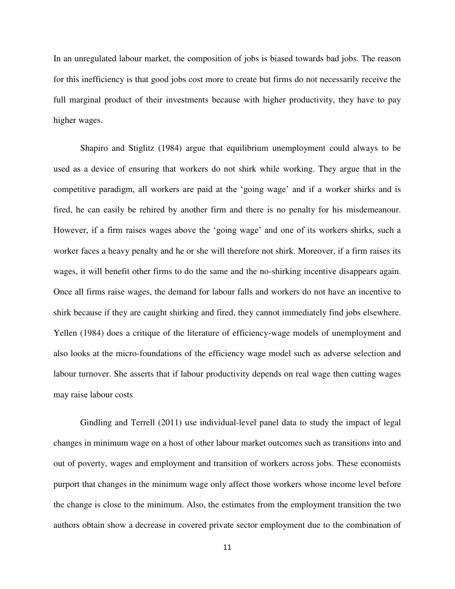In an unregulated labour market, the composition of jobs is biased towards bad jobs. The reason for this inefficiency is that good jobs cost more to create but firms do not necessarily receive the full marginal product of their investments because with higher productivity, they have to pay higher wages.

Shapiro and Stiglitz (1984) argue that equilibrium unemployment could always to be used as a device of ensuring that workers do not shirk while working. They argue that in the competitive paradigm, all workers are paid at the 'going wage' and if a worker shirks and is fired, he can easily be rehired by another firm and there is no penalty for his misdemeanour. However, if a firm raises wages above the 'going wage' and one of its workers shirks, such a worker faces a heavy penalty and he or she will therefore not shirk. Moreover, if a firm raises its wages, it will benefit other firms to do the same and the no-shirking incentive disappears again. Once all firms raise wages, the demand for labour falls and workers do not have an incentive to shirk because if they are caught shirking and fired, they cannot immediately find jobs elsewhere. Yellen (1984) does a critique of the literature of efficiency-wage models of unemployment and also looks at the micro-foundations of the efficiency wage model such as adverse selection and labour turnover. She asserts that if labour productivity depends on real wage then cutting wages may raise labour costs

Gindling and Terrell (2011) use individual-level panel data to study the impact of legal changes in minimum wage on a host of other labour market outcomes such as transitions into and out of poverty, wages and employment and transition of workers across jobs. These economists purport that changes in the minimum wage only affect those workers whose income level before the change is close to the minimum. Also, the estimates from the employment transition the two authors obtain show a decrease in covered private sector employment due to the combination of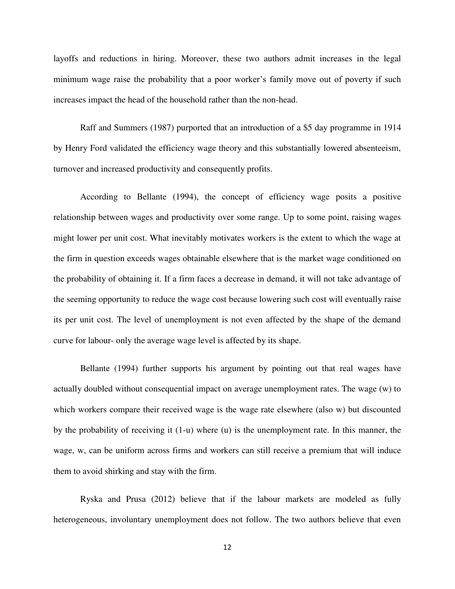layoffs and reductions in hiring. Moreover, these two authors admit increases in the legal minimum wage raise the probability that a poor worker's family move out of poverty if such increases impact the head of the household rather than the non-head.

Raff and Summers (1987) purported that an introduction of a \$5 day programme in 1914 by Henry Ford validated the efficiency wage theory and this substantially lowered absenteeism, turnover and increased productivity and consequently profits.

According to Bellante (1994), the concept of efficiency wage posits a positive relationship between wages and productivity over some range. Up to some point, raising wages might lower per unit cost. What inevitably motivates workers is the extent to which the wage at the firm in question exceeds wages obtainable elsewhere that is the market wage conditioned on the probability of obtaining it. If a firm faces a decrease in demand, it will not take advantage of the seeming opportunity to reduce the wage cost because lowering such cost will eventually raise its per unit cost. The level of unemployment is not even affected by the shape of the demand curve for labour- only the average wage level is affected by its shape.

Bellante (1994) further supports his argument by pointing out that real wages have actually doubled without consequential impact on average unemployment rates. The wage (w) to which workers compare their received wage is the wage rate elsewhere (also w) but discounted by the probability of receiving it (1-u) where (u) is the unemployment rate. In this manner, the wage, w, can be uniform across firms and workers can still receive a premium that will induce them to avoid shirking and stay with the firm.

Ryska and Prusa (2012) believe that if the labour markets are modeled as fully heterogeneous, involuntary unemployment does not follow. The two authors believe that even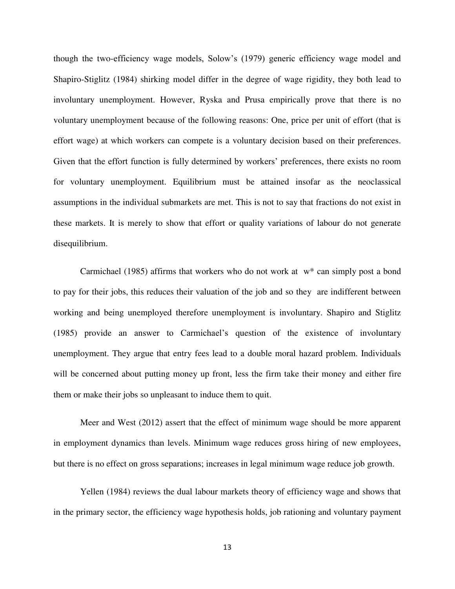though the two-efficiency wage models, Solow's (1979) generic efficiency wage model and Shapiro-Stiglitz (1984) shirking model differ in the degree of wage rigidity, they both lead to involuntary unemployment. However, Ryska and Prusa empirically prove that there is no voluntary unemployment because of the following reasons: One, price per unit of effort (that is effort wage) at which workers can compete is a voluntary decision based on their preferences. Given that the effort function is fully determined by workers' preferences, there exists no room for voluntary unemployment. Equilibrium must be attained insofar as the neoclassical assumptions in the individual submarkets are met. This is not to say that fractions do not exist in these markets. It is merely to show that effort or quality variations of labour do not generate disequilibrium.

Carmichael (1985) affirms that workers who do not work at  $w^*$  can simply post a bond to pay for their jobs, this reduces their valuation of the job and so they are indifferent between working and being unemployed therefore unemployment is involuntary. Shapiro and Stiglitz (1985) provide an answer to Carmichael's question of the existence of involuntary unemployment. They argue that entry fees lead to a double moral hazard problem. Individuals will be concerned about putting money up front, less the firm take their money and either fire them or make their jobs so unpleasant to induce them to quit.

Meer and West (2012) assert that the effect of minimum wage should be more apparent in employment dynamics than levels. Minimum wage reduces gross hiring of new employees, but there is no effect on gross separations; increases in legal minimum wage reduce job growth.

Yellen (1984) reviews the dual labour markets theory of efficiency wage and shows that in the primary sector, the efficiency wage hypothesis holds, job rationing and voluntary payment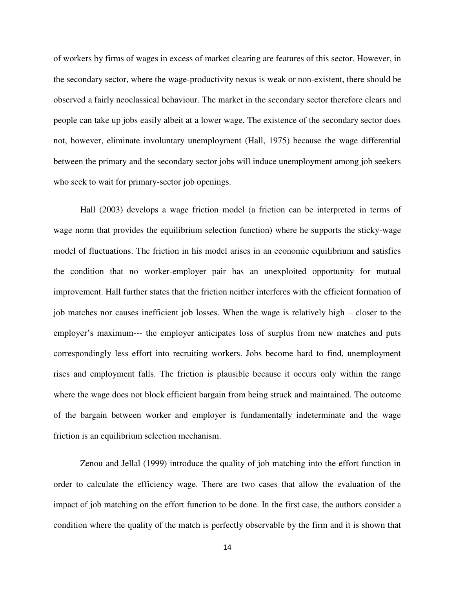of workers by firms of wages in excess of market clearing are features of this sector. However, in the secondary sector, where the wage-productivity nexus is weak or non-existent, there should be observed a fairly neoclassical behaviour. The market in the secondary sector therefore clears and people can take up jobs easily albeit at a lower wage. The existence of the secondary sector does not, however, eliminate involuntary unemployment (Hall, 1975) because the wage differential between the primary and the secondary sector jobs will induce unemployment among job seekers who seek to wait for primary-sector job openings.

Hall (2003) develops a wage friction model (a friction can be interpreted in terms of wage norm that provides the equilibrium selection function) where he supports the sticky-wage model of fluctuations. The friction in his model arises in an economic equilibrium and satisfies the condition that no worker-employer pair has an unexploited opportunity for mutual improvement. Hall further states that the friction neither interferes with the efficient formation of job matches nor causes inefficient job losses. When the wage is relatively high – closer to the employer's maximum--- the employer anticipates loss of surplus from new matches and puts correspondingly less effort into recruiting workers. Jobs become hard to find, unemployment rises and employment falls. The friction is plausible because it occurs only within the range where the wage does not block efficient bargain from being struck and maintained. The outcome of the bargain between worker and employer is fundamentally indeterminate and the wage friction is an equilibrium selection mechanism.

Zenou and Jellal (1999) introduce the quality of job matching into the effort function in order to calculate the efficiency wage. There are two cases that allow the evaluation of the impact of job matching on the effort function to be done. In the first case, the authors consider a condition where the quality of the match is perfectly observable by the firm and it is shown that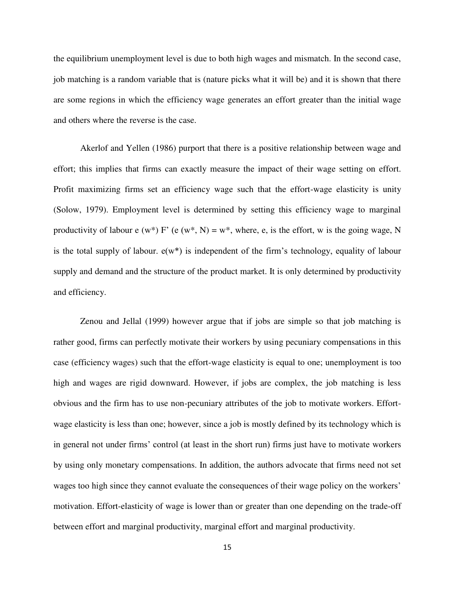the equilibrium unemployment level is due to both high wages and mismatch. In the second case, job matching is a random variable that is (nature picks what it will be) and it is shown that there are some regions in which the efficiency wage generates an effort greater than the initial wage and others where the reverse is the case.

Akerlof and Yellen (1986) purport that there is a positive relationship between wage and effort; this implies that firms can exactly measure the impact of their wage setting on effort. Profit maximizing firms set an efficiency wage such that the effort-wage elasticity is unity (Solow, 1979). Employment level is determined by setting this efficiency wage to marginal productivity of labour e (w\*) F' (e (w\*, N) = w\*, where, e, is the effort, w is the going wage, N is the total supply of labour.  $e(w^*)$  is independent of the firm's technology, equality of labour supply and demand and the structure of the product market. It is only determined by productivity and efficiency.

Zenou and Jellal (1999) however argue that if jobs are simple so that job matching is rather good, firms can perfectly motivate their workers by using pecuniary compensations in this case (efficiency wages) such that the effort-wage elasticity is equal to one; unemployment is too high and wages are rigid downward. However, if jobs are complex, the job matching is less obvious and the firm has to use non-pecuniary attributes of the job to motivate workers. Effortwage elasticity is less than one; however, since a job is mostly defined by its technology which is in general not under firms' control (at least in the short run) firms just have to motivate workers by using only monetary compensations. In addition, the authors advocate that firms need not set wages too high since they cannot evaluate the consequences of their wage policy on the workers' motivation. Effort-elasticity of wage is lower than or greater than one depending on the trade-off between effort and marginal productivity, marginal effort and marginal productivity.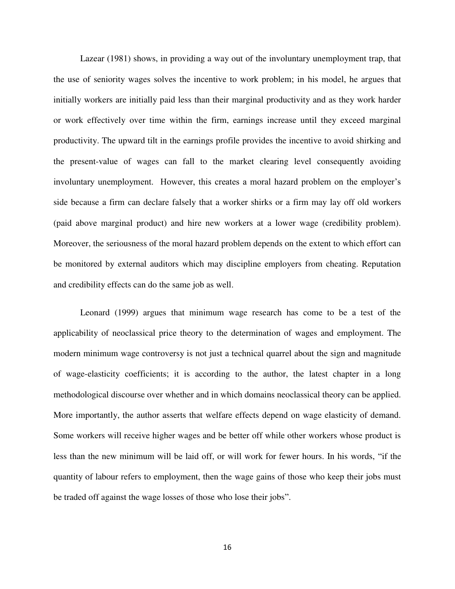Lazear (1981) shows, in providing a way out of the involuntary unemployment trap, that the use of seniority wages solves the incentive to work problem; in his model, he argues that initially workers are initially paid less than their marginal productivity and as they work harder or work effectively over time within the firm, earnings increase until they exceed marginal productivity. The upward tilt in the earnings profile provides the incentive to avoid shirking and the present-value of wages can fall to the market clearing level consequently avoiding involuntary unemployment. However, this creates a moral hazard problem on the employer's side because a firm can declare falsely that a worker shirks or a firm may lay off old workers (paid above marginal product) and hire new workers at a lower wage (credibility problem). Moreover, the seriousness of the moral hazard problem depends on the extent to which effort can be monitored by external auditors which may discipline employers from cheating. Reputation and credibility effects can do the same job as well.

Leonard (1999) argues that minimum wage research has come to be a test of the applicability of neoclassical price theory to the determination of wages and employment. The modern minimum wage controversy is not just a technical quarrel about the sign and magnitude of wage-elasticity coefficients; it is according to the author, the latest chapter in a long methodological discourse over whether and in which domains neoclassical theory can be applied. More importantly, the author asserts that welfare effects depend on wage elasticity of demand. Some workers will receive higher wages and be better off while other workers whose product is less than the new minimum will be laid off, or will work for fewer hours. In his words, "if the quantity of labour refers to employment, then the wage gains of those who keep their jobs must be traded off against the wage losses of those who lose their jobs".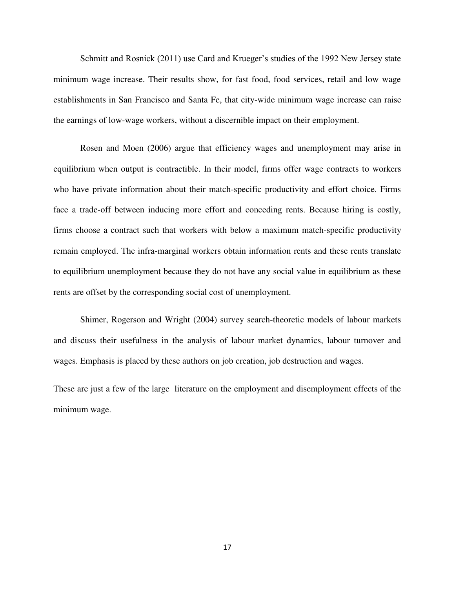Schmitt and Rosnick (2011) use Card and Krueger's studies of the 1992 New Jersey state minimum wage increase. Their results show, for fast food, food services, retail and low wage establishments in San Francisco and Santa Fe, that city-wide minimum wage increase can raise the earnings of low-wage workers, without a discernible impact on their employment.

Rosen and Moen (2006) argue that efficiency wages and unemployment may arise in equilibrium when output is contractible. In their model, firms offer wage contracts to workers who have private information about their match-specific productivity and effort choice. Firms face a trade-off between inducing more effort and conceding rents. Because hiring is costly, firms choose a contract such that workers with below a maximum match-specific productivity remain employed. The infra-marginal workers obtain information rents and these rents translate to equilibrium unemployment because they do not have any social value in equilibrium as these rents are offset by the corresponding social cost of unemployment.

Shimer, Rogerson and Wright (2004) survey search-theoretic models of labour markets and discuss their usefulness in the analysis of labour market dynamics, labour turnover and wages. Emphasis is placed by these authors on job creation, job destruction and wages.

These are just a few of the large literature on the employment and disemployment effects of the minimum wage.

17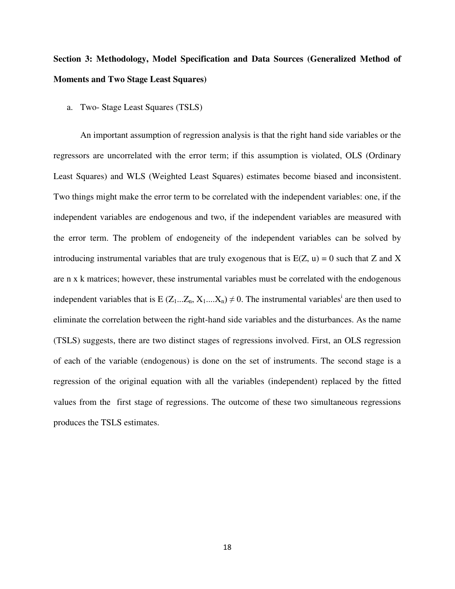# **Section 3: Methodology, Model Specification and Data Sources (Generalized Method of Moments and Two Stage Least Squares)**

a. Two- Stage Least Squares (TSLS)

An important assumption of regression analysis is that the right hand side variables or the regressors are uncorrelated with the error term; if this assumption is violated, OLS (Ordinary Least Squares) and WLS (Weighted Least Squares) estimates become biased and inconsistent. Two things might make the error term to be correlated with the independent variables: one, if the independent variables are endogenous and two, if the independent variables are measured with the error term. The problem of endogeneity of the independent variables can be solved by introducing instrumental variables that are truly exogenous that is  $E(Z, u) = 0$  such that Z and X are n x k matrices; however, these instrumental variables must be correlated with the endogenous independent variables that is E  $(Z_1...Z_n, X_1...X_n) \neq 0$ . The instrumental variables<sup>i</sup> are then used to eliminate the correlation between the right-hand side variables and the disturbances. As the name (TSLS) suggests, there are two distinct stages of regressions involved. First, an OLS regression of each of the variable (endogenous) is done on the set of instruments. The second stage is a regression of the original equation with all the variables (independent) replaced by the fitted values from the first stage of regressions. The outcome of these two simultaneous regressions produces the TSLS estimates.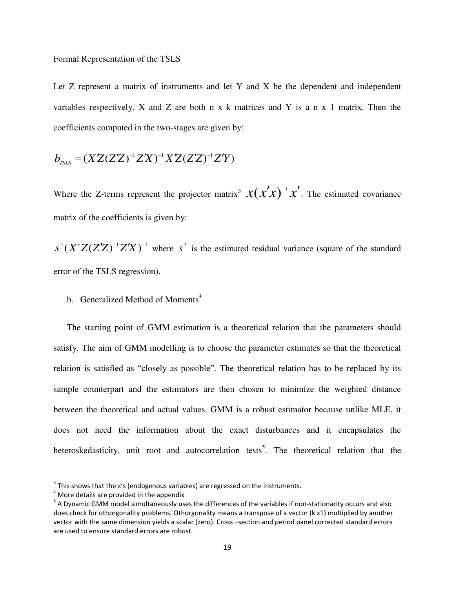Let Z represent a matrix of instruments and let Y and X be the dependent and independent variables respectively. X and Z are both  $n \times k$  matrices and Y is a n  $x$  1 matrix. Then the coefficients computed in the two-stages are given by:

$$
b_{\text{rsis}} = (XZ(ZZ)^{-1}ZX)^{-1}XZ(ZZ)^{-1}ZY)
$$

Where the Z-terms represent the projector matrix<sup>3</sup>  $x(x'x)^{-1}x'$ . The estimated covariance matrix of the coefficients is given by:

 $s^{2}(X'Z(Z'Z)^{-1}Z'X)^{-1}$  where  $s^{2}$  is the estimated residual variance (square of the standard error of the TSLS regression).

b. Generalized Method of Moments<sup>4</sup>

The starting point of GMM estimation is a theoretical relation that the parameters should satisfy. The aim of GMM modelling is to choose the parameter estimates so that the theoretical relation is satisfied as "closely as possible". The theoretical relation has to be replaced by its sample counterpart and the estimators are then chosen to minimize the weighted distance between the theoretical and actual values. GMM is a robust estimator because unlike MLE, it does not need the information about the exact disturbances and it encapsulates the heteroskedasticity, unit root and autocorrelation tests<sup>5</sup>. The theoretical relation that the

l

 $3$  This shows that the x's (endogenous variables) are regressed on the instruments.

 $4$  More details are provided in the appendix

<sup>&</sup>lt;sup>5</sup> A Dynamic GMM model simultaneously uses the differences of the variables if non-stationarity occurs and also does check for othorgonality problems. Othorgonality means a transpose of a vector (k x1) multiplied by another vector with the same dimension yields a scalar (zero). Cross –section and period panel corrected standard errors are used to ensure standard errors are robust.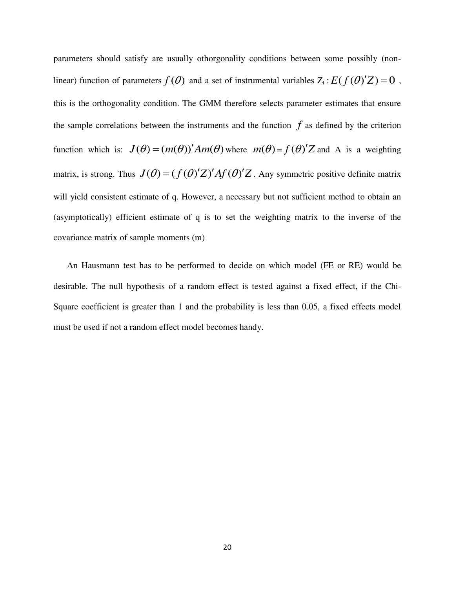parameters should satisfy are usually othorgonality conditions between some possibly (nonlinear) function of parameters  $f(\theta)$  and a set of instrumental variables  $Z_t : E(f(\theta)Z) = 0$ , this is the orthogonality condition. The GMM therefore selects parameter estimates that ensure the sample correlations between the instruments and the function  $f$  as defined by the criterion function which is:  $J(\theta) = (m(\theta))' Am(\theta)$  where  $m(\theta) = f(\theta)'Z$  and A is a weighting matrix, is strong. Thus  $J(\theta) = (f(\theta)'Z)'Af(\theta)'Z$ . Any symmetric positive definite matrix will yield consistent estimate of q. However, a necessary but not sufficient method to obtain an (asymptotically) efficient estimate of q is to set the weighting matrix to the inverse of the covariance matrix of sample moments (m)

An Hausmann test has to be performed to decide on which model (FE or RE) would be desirable. The null hypothesis of a random effect is tested against a fixed effect, if the Chi-Square coefficient is greater than 1 and the probability is less than 0.05, a fixed effects model must be used if not a random effect model becomes handy.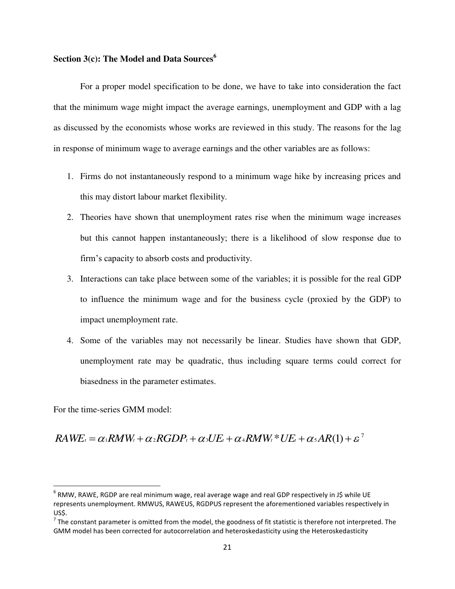#### **Section 3(c): The Model and Data Sources<sup>6</sup>**

For a proper model specification to be done, we have to take into consideration the fact that the minimum wage might impact the average earnings, unemployment and GDP with a lag as discussed by the economists whose works are reviewed in this study. The reasons for the lag in response of minimum wage to average earnings and the other variables are as follows:

- 1. Firms do not instantaneously respond to a minimum wage hike by increasing prices and this may distort labour market flexibility.
- 2. Theories have shown that unemployment rates rise when the minimum wage increases but this cannot happen instantaneously; there is a likelihood of slow response due to firm's capacity to absorb costs and productivity.
- 3. Interactions can take place between some of the variables; it is possible for the real GDP to influence the minimum wage and for the business cycle (proxied by the GDP) to impact unemployment rate.
- 4. Some of the variables may not necessarily be linear. Studies have shown that GDP, unemployment rate may be quadratic, thus including square terms could correct for biasedness in the parameter estimates.

For the time-series GMM model:

 $\overline{\phantom{0}}$ 

 $\mathcal{R}AWE_t = \alpha_1 \mathcal{R}MW_t + \alpha_2 \mathcal{R}GDP_t + \alpha_3 UE_t + \alpha_4 \mathcal{R}MW_t * UE_t + \alpha_5 \mathcal{A}R(1) + \varepsilon_7$ 

 $^6$  RMW, RAWE, RGDP are real minimum wage, real average wage and real GDP respectively in J\$ while UE represents unemployment. RMWUS, RAWEUS, RGDPUS represent the aforementioned variables respectively in US\$.

<sup>&</sup>lt;sup>7</sup> The constant parameter is omitted from the model, the goodness of fit statistic is therefore not interpreted. The GMM model has been corrected for autocorrelation and heteroskedasticity using the Heteroskedasticity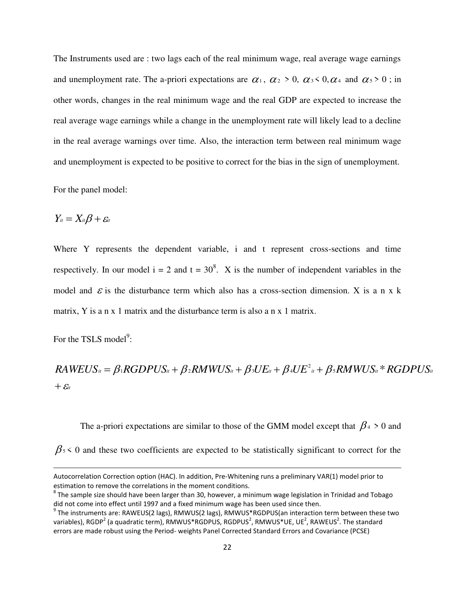The Instruments used are : two lags each of the real minimum wage, real average wage earnings and unemployment rate. The a-priori expectations are  $\alpha_1$ ,  $\alpha_2 > 0$ ,  $\alpha_3 < 0$ ,  $\alpha_4$  and  $\alpha_5 > 0$ ; in other words, changes in the real minimum wage and the real GDP are expected to increase the real average wage earnings while a change in the unemployment rate will likely lead to a decline in the real average warnings over time. Also, the interaction term between real minimum wage and unemployment is expected to be positive to correct for the bias in the sign of unemployment.

For the panel model:

$$
Y_{it}=X_{it}\beta+\varepsilon_{it}
$$

Where Y represents the dependent variable, i and t represent cross-sections and time respectively. In our model  $i = 2$  and  $t = 30^8$ . X is the number of independent variables in the model and  $\epsilon$  is the disturbance term which also has a cross-section dimension. X is a n x k matrix, Y is a n x 1 matrix and the disturbance term is also a n x 1 matrix.

For the TSLS model<sup>9</sup>:

 $\overline{\phantom{0}}$ 

 $+$   $\mathcal{E}_{it}$  $\mathcal{R}AWEUS_{it} = \beta_1 \mathcal{R}GDPUS_{it} + \beta_2 \mathcal{R}MWUS_{it} + \beta_3 UE_{it} + \beta_4 UE_{it}^2 + \beta_5 \mathcal{R}MWUS_{it} * RGDPUS_{it}$ 

The a-priori expectations are similar to those of the GMM model except that  $\beta_4 > 0$  and  $\beta_5$  < 0 and these two coefficients are expected to be statistically significant to correct for the

Autocorrelation Correction option (HAC). In addition, Pre-Whitening runs a preliminary VAR(1) model prior to estimation to remove the correlations in the moment conditions.

 $^8$  The sample size should have been larger than 30, however, a minimum wage legislation in Trinidad and Tobago did not come into effect until 1997 and a fixed minimum wage has been used since then.

 $^9$  The instruments are: RAWEUS(2 lags), RMWUS(2 lags), RMWUS\*RGDPUS(an interaction term between these two variables), RGDP<sup>2</sup> (a quadratic term), RMWUS\*RGDPUS, RGDPUS<sup>2</sup>, RMWUS\*UE, UE<sup>2</sup>, RAWEUS<sup>2</sup>. The standard errors are made robust using the Period- weights Panel Corrected Standard Errors and Covariance (PCSE)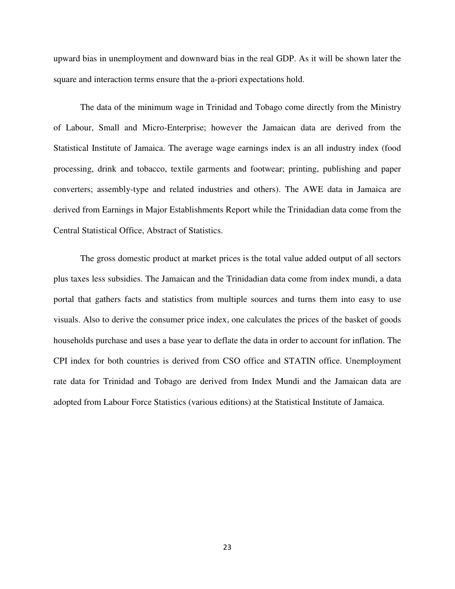upward bias in unemployment and downward bias in the real GDP. As it will be shown later the square and interaction terms ensure that the a-priori expectations hold.

The data of the minimum wage in Trinidad and Tobago come directly from the Ministry of Labour, Small and Micro-Enterprise; however the Jamaican data are derived from the Statistical Institute of Jamaica. The average wage earnings index is an all industry index (food processing, drink and tobacco, textile garments and footwear; printing, publishing and paper converters; assembly-type and related industries and others). The AWE data in Jamaica are derived from Earnings in Major Establishments Report while the Trinidadian data come from the Central Statistical Office, Abstract of Statistics.

The gross domestic product at market prices is the total value added output of all sectors plus taxes less subsidies. The Jamaican and the Trinidadian data come from index mundi, a data portal that gathers facts and statistics from multiple sources and turns them into easy to use visuals. Also to derive the consumer price index, one calculates the prices of the basket of goods households purchase and uses a base year to deflate the data in order to account for inflation. The CPI index for both countries is derived from CSO office and STATIN office. Unemployment rate data for Trinidad and Tobago are derived from Index Mundi and the Jamaican data are adopted from Labour Force Statistics (various editions) at the Statistical Institute of Jamaica.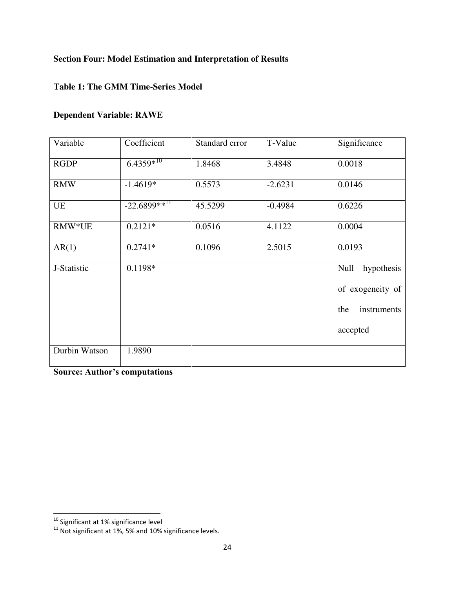### **Section Four: Model Estimation and Interpretation of Results**

#### **Table 1: The GMM Time-Series Model**

#### **Dependent Variable: RAWE**

| Variable      | Coefficient                | Standard error | T-Value   | Significance                                                             |
|---------------|----------------------------|----------------|-----------|--------------------------------------------------------------------------|
| <b>RGDP</b>   | $6.4359*^{10}$             | 1.8468         | 3.4848    | 0.0018                                                                   |
| <b>RMW</b>    | $-1.4619*$                 | 0.5573         | $-2.6231$ | 0.0146                                                                   |
| UE            | $-22.6899**$ <sup>II</sup> | 45.5299        | $-0.4984$ | 0.6226                                                                   |
| RMW*UE        | $0.2121*$                  | 0.0516         | 4.1122    | 0.0004                                                                   |
| AR(1)         | $0.2741*$                  | 0.1096         | 2.5015    | 0.0193                                                                   |
| J-Statistic   | $0.1198*$                  |                |           | Null<br>hypothesis<br>of exogeneity of<br>instruments<br>the<br>accepted |
| Durbin Watson | 1.9890                     |                |           |                                                                          |

**Source: Author's computations**

 $\overline{\phantom{0}}$ 

 $^{10}$  Significant at 1% significance level

 $11$  Not significant at 1%, 5% and 10% significance levels.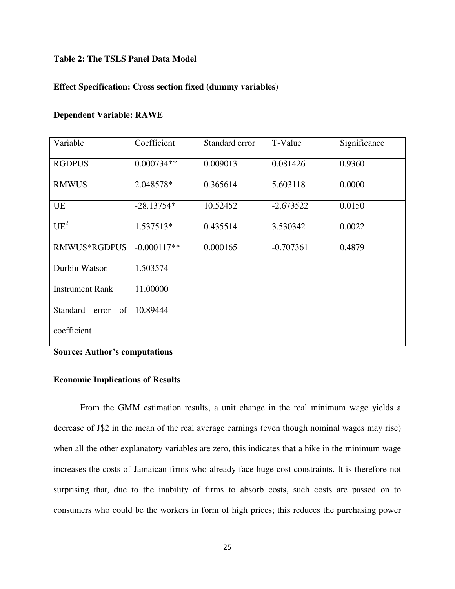#### **Table 2: The TSLS Panel Data Model**

#### **Effect Specification: Cross section fixed (dummy variables)**

#### **Dependent Variable: RAWE**

| Variable                | Coefficient   | T-Value<br>Standard error |             | Significance |
|-------------------------|---------------|---------------------------|-------------|--------------|
| <b>RGDPUS</b>           | $0.000734**$  | 0.009013                  | 0.081426    | 0.9360       |
| <b>RMWUS</b>            | 2.048578*     | 0.365614                  | 5.603118    | 0.0000       |
| <b>UE</b>               | $-28.13754*$  | 10.52452                  | $-2.673522$ | 0.0150       |
| $UE^2$                  | 1.537513*     | 0.435514                  | 3.530342    | 0.0022       |
| <b>RMWUS*RGDPUS</b>     | $-0.000117**$ | 0.000165                  | $-0.707361$ | 0.4879       |
| Durbin Watson           | 1.503574      |                           |             |              |
| <b>Instrument Rank</b>  | 11.00000      |                           |             |              |
| of<br>Standard<br>error | 10.89444      |                           |             |              |
| coefficient             |               |                           |             |              |

**Source: Author's computations**

#### **Economic Implications of Results**

From the GMM estimation results, a unit change in the real minimum wage yields a decrease of J\$2 in the mean of the real average earnings (even though nominal wages may rise) when all the other explanatory variables are zero, this indicates that a hike in the minimum wage increases the costs of Jamaican firms who already face huge cost constraints. It is therefore not surprising that, due to the inability of firms to absorb costs, such costs are passed on to consumers who could be the workers in form of high prices; this reduces the purchasing power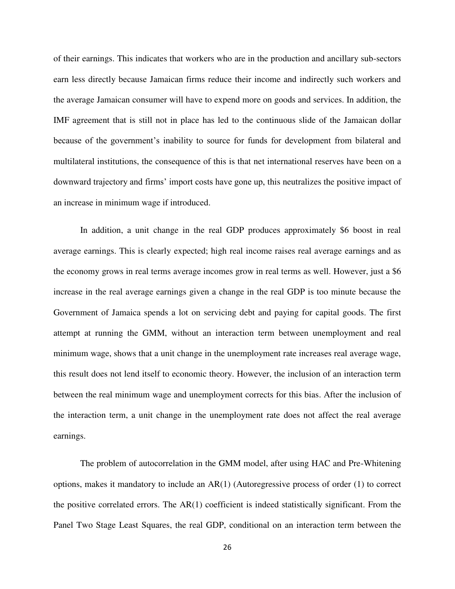of their earnings. This indicates that workers who are in the production and ancillary sub-sectors earn less directly because Jamaican firms reduce their income and indirectly such workers and the average Jamaican consumer will have to expend more on goods and services. In addition, the IMF agreement that is still not in place has led to the continuous slide of the Jamaican dollar because of the government's inability to source for funds for development from bilateral and multilateral institutions, the consequence of this is that net international reserves have been on a downward trajectory and firms' import costs have gone up, this neutralizes the positive impact of an increase in minimum wage if introduced.

 In addition, a unit change in the real GDP produces approximately \$6 boost in real average earnings. This is clearly expected; high real income raises real average earnings and as the economy grows in real terms average incomes grow in real terms as well. However, just a \$6 increase in the real average earnings given a change in the real GDP is too minute because the Government of Jamaica spends a lot on servicing debt and paying for capital goods. The first attempt at running the GMM, without an interaction term between unemployment and real minimum wage, shows that a unit change in the unemployment rate increases real average wage, this result does not lend itself to economic theory. However, the inclusion of an interaction term between the real minimum wage and unemployment corrects for this bias. After the inclusion of the interaction term, a unit change in the unemployment rate does not affect the real average earnings.

 The problem of autocorrelation in the GMM model, after using HAC and Pre-Whitening options, makes it mandatory to include an AR(1) (Autoregressive process of order (1) to correct the positive correlated errors. The  $AR(1)$  coefficient is indeed statistically significant. From the Panel Two Stage Least Squares, the real GDP, conditional on an interaction term between the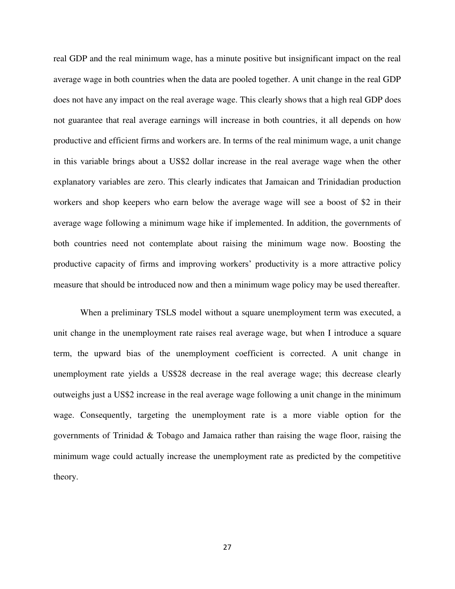real GDP and the real minimum wage, has a minute positive but insignificant impact on the real average wage in both countries when the data are pooled together. A unit change in the real GDP does not have any impact on the real average wage. This clearly shows that a high real GDP does not guarantee that real average earnings will increase in both countries, it all depends on how productive and efficient firms and workers are. In terms of the real minimum wage, a unit change in this variable brings about a US\$2 dollar increase in the real average wage when the other explanatory variables are zero. This clearly indicates that Jamaican and Trinidadian production workers and shop keepers who earn below the average wage will see a boost of \$2 in their average wage following a minimum wage hike if implemented. In addition, the governments of both countries need not contemplate about raising the minimum wage now. Boosting the productive capacity of firms and improving workers' productivity is a more attractive policy measure that should be introduced now and then a minimum wage policy may be used thereafter.

 When a preliminary TSLS model without a square unemployment term was executed, a unit change in the unemployment rate raises real average wage, but when I introduce a square term, the upward bias of the unemployment coefficient is corrected. A unit change in unemployment rate yields a US\$28 decrease in the real average wage; this decrease clearly outweighs just a US\$2 increase in the real average wage following a unit change in the minimum wage. Consequently, targeting the unemployment rate is a more viable option for the governments of Trinidad & Tobago and Jamaica rather than raising the wage floor, raising the minimum wage could actually increase the unemployment rate as predicted by the competitive theory.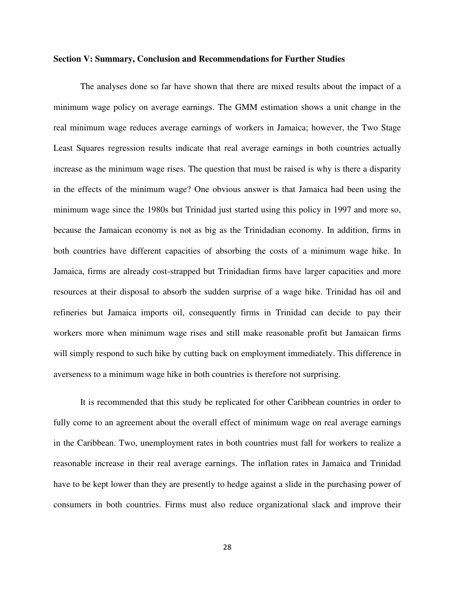#### **Section V: Summary, Conclusion and Recommendations for Further Studies**

 The analyses done so far have shown that there are mixed results about the impact of a minimum wage policy on average earnings. The GMM estimation shows a unit change in the real minimum wage reduces average earnings of workers in Jamaica; however, the Two Stage Least Squares regression results indicate that real average earnings in both countries actually increase as the minimum wage rises. The question that must be raised is why is there a disparity in the effects of the minimum wage? One obvious answer is that Jamaica had been using the minimum wage since the 1980s but Trinidad just started using this policy in 1997 and more so, because the Jamaican economy is not as big as the Trinidadian economy. In addition, firms in both countries have different capacities of absorbing the costs of a minimum wage hike. In Jamaica, firms are already cost-strapped but Trinidadian firms have larger capacities and more resources at their disposal to absorb the sudden surprise of a wage hike. Trinidad has oil and refineries but Jamaica imports oil, consequently firms in Trinidad can decide to pay their workers more when minimum wage rises and still make reasonable profit but Jamaican firms will simply respond to such hike by cutting back on employment immediately. This difference in averseness to a minimum wage hike in both countries is therefore not surprising.

It is recommended that this study be replicated for other Caribbean countries in order to fully come to an agreement about the overall effect of minimum wage on real average earnings in the Caribbean. Two, unemployment rates in both countries must fall for workers to realize a reasonable increase in their real average earnings. The inflation rates in Jamaica and Trinidad have to be kept lower than they are presently to hedge against a slide in the purchasing power of consumers in both countries. Firms must also reduce organizational slack and improve their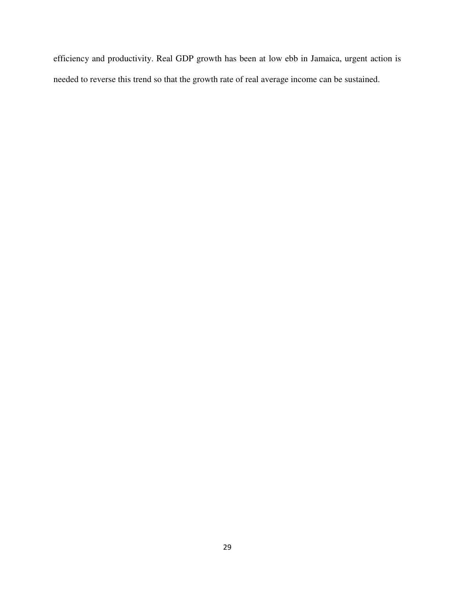efficiency and productivity. Real GDP growth has been at low ebb in Jamaica, urgent action is needed to reverse this trend so that the growth rate of real average income can be sustained.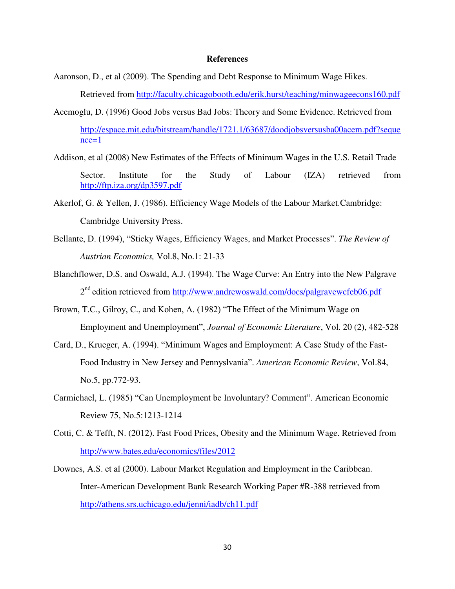#### **References**

- Aaronson, D., et al (2009). The Spending and Debt Response to Minimum Wage Hikes. Retrieved from<http://faculty.chicagobooth.edu/erik.hurst/teaching/minwageecons160.pdf>
- Acemoglu, D. (1996) Good Jobs versus Bad Jobs: Theory and Some Evidence. Retrieved from [http://espace.mit.edu/bitstream/handle/1721.1/63687/doodjobsversusba00acem.pdf?seque](http://espace.mit.edu/bitstream/handle/1721.1/63687/doodjobsversusba00acem.pdf?sequence=1)  $nce=1$
- Addison, et al (2008) New Estimates of the Effects of Minimum Wages in the U.S. Retail Trade Sector. Institute for the Study of Labour (IZA) retrieved from <http://ftp.iza.org/dp3597.pdf>
- Akerlof, G. & Yellen, J. (1986). Efficiency Wage Models of the Labour Market.Cambridge: Cambridge University Press.
- Bellante, D. (1994), "Sticky Wages, Efficiency Wages, and Market Processes". *The Review of Austrian Economics,* Vol.8, No.1: 21-33
- Blanchflower, D.S. and Oswald, A.J. (1994). The Wage Curve: An Entry into the New Palgrave 2<sup>nd</sup> edition retrieved from http://www.andrewoswald.com/docs/palgravewcfeb06.pdf
- Brown, T.C., Gilroy, C., and Kohen, A. (1982) "The Effect of the Minimum Wage on Employment and Unemployment", *Journal of Economic Literature*, Vol. 20 (2), 482-528
- Card, D., Krueger, A. (1994). "Minimum Wages and Employment: A Case Study of the Fast-Food Industry in New Jersey and Pennyslvania". *American Economic Review*, Vol.84, No.5, pp.772-93.
- Carmichael, L. (1985) "Can Unemployment be Involuntary? Comment". American Economic Review 75, No.5:1213-1214
- Cotti, C. & Tefft, N. (2012). Fast Food Prices, Obesity and the Minimum Wage. Retrieved from <http://www.bates.edu/economics/files/2012>
- Downes, A.S. et al (2000). Labour Market Regulation and Employment in the Caribbean. Inter-American Development Bank Research Working Paper #R-388 retrieved from <http://athens.srs.uchicago.edu/jenni/iadb/ch11.pdf>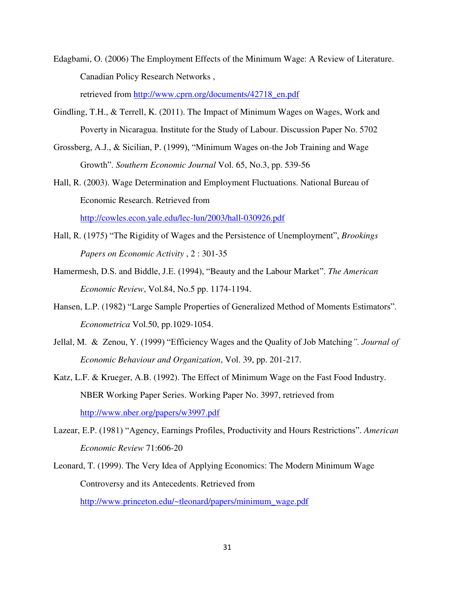Edagbami, O. (2006) The Employment Effects of the Minimum Wage: A Review of Literature. Canadian Policy Research Networks ,

retrieved from [http://www.cprn.org/documents/42718\\_en.pdf](http://www.cprn.org/documents/42718_en.pdf)

- Gindling, T.H., & Terrell, K. (2011). The Impact of Minimum Wages on Wages, Work and Poverty in Nicaragua. Institute for the Study of Labour. Discussion Paper No. 5702
- Grossberg, A.J., & Sicilian, P. (1999), "Minimum Wages on-the Job Training and Wage Growth". *Southern Economic Journal* Vol. 65, No.3, pp. 539-56

Hall, R. (2003). Wage Determination and Employment Fluctuations. National Bureau of Economic Research. Retrieved from <http://cowles.econ.yale.edu/lec-lun/2003/hall-030926.pdf>

- Hall, R. (1975) "The Rigidity of Wages and the Persistence of Unemployment", *Brookings Papers on Economic Activity* , 2 : 301-35
- Hamermesh, D.S. and Biddle, J.E. (1994), "Beauty and the Labour Market". *The American Economic Review*, Vol.84, No.5 pp. 1174-1194.
- Hansen, L.P. (1982) "Large Sample Properties of Generalized Method of Moments Estimators". *Econometrica* Vol.50, pp.1029-1054.
- Jellal, M. & Zenou, Y. (1999) "Efficiency Wages and the Quality of Job Matching*". Journal of Economic Behaviour and Organization*, Vol. 39, pp. 201-217.
- Katz, L.F. & Krueger, A.B. (1992). The Effect of Minimum Wage on the Fast Food Industry. NBER Working Paper Series. Working Paper No. 3997, retrieved from <http://www.nber.org/papers/w3997.pdf>
- Lazear, E.P. (1981) "Agency, Earnings Profiles, Productivity and Hours Restrictions". *American Economic Review* 71:606-20
- Leonard, T. (1999). The Very Idea of Applying Economics: The Modern Minimum Wage Controversy and its Antecedents. Retrieved from [http://www.princeton.edu/~tleonard/papers/minimum\\_wage.pdf](http://www.princeton.edu/~tleonard/papers/minimum_wage.pdf)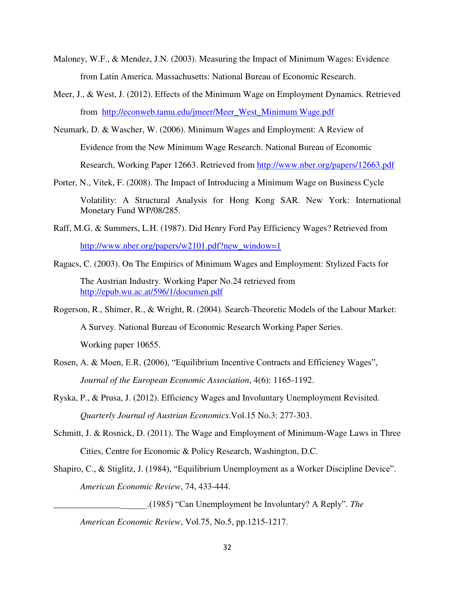- Maloney, W.F., & Mendez, J.N. (2003). Measuring the Impact of Minimum Wages: Evidence from Latin America. Massachusetts: National Bureau of Economic Research.
- Meer, J., & West, J. (2012). Effects of the Minimum Wage on Employment Dynamics. Retrieved from [http://econweb.tamu.edu/jmeer/Meer\\_West\\_Minimum Wage.pdf](http://econweb.tamu.edu/jmeer/Meer_West_Minimum%20Wage.pdf)
- Neumark, D. & Wascher, W. (2006). Minimum Wages and Employment: A Review of

Evidence from the New Minimum Wage Research. National Bureau of Economic

Research, Working Paper 12663. Retrieved from<http://www.nber.org/papers/12663.pdf>

- Porter, N., Vitek, F. (2008). The Impact of Introducing a Minimum Wage on Business Cycle Volatility: A Structural Analysis for Hong Kong SAR. New York: International Monetary Fund WP/08/285.
- Raff, M.G. & Summers, L.H. (1987). Did Henry Ford Pay Efficiency Wages? Retrieved from [http://www.nber.org/papers/w2101.pdf?new\\_window=1](http://www.nber.org/papers/w2101.pdf?new_window=1)
- Ragacs, C. (2003). On The Empirics of Minimum Wages and Employment: Stylized Facts for The Austrian Industry. Working Paper No.24 retrieved from <http://epub.wu.ac.at/596/1/documen.pdf>
- Rogerson, R., Shimer, R., & Wright, R. (2004). Search-Theoretic Models of the Labour Market: A Survey. National Bureau of Economic Research Working Paper Series. Working paper 10655.
- Rosen, A. & Moen, E.R. (2006), "Equilibrium Incentive Contracts and Efficiency Wages", *Journal of the European Economic Association*, 4(6): 1165-1192.
- Ryska, P., & Prusa, J. (2012). Efficiency Wages and Involuntary Unemployment Revisited. *Quarterly Journal of Austrian Economics*.Vol.15 No.3: 277-303.
- Schmitt, J. & Rosnick, D. (2011). The Wage and Employment of Minimum-Wage Laws in Three Cities, Centre for Economic & Policy Research, Washington, D.C.
- Shapiro, C., & Stiglitz, J. (1984), "Equilibrium Unemployment as a Worker Discipline Device". *American Economic Review*, 74, 433-444.

\_\_\_\_\_\_\_\_\_\_\_\_\_\_\_\_\_\_\_\_\_.(1985) "Can Unemployment be Involuntary? A Reply". *The* 

 *American Economic Review*, Vol.75, No.5, pp.1215-1217.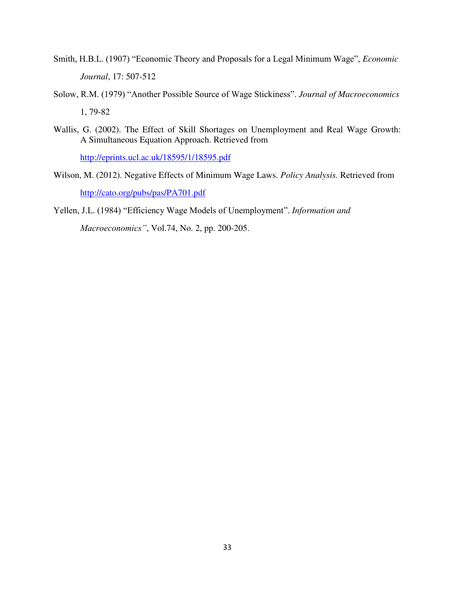- Smith, H.B.L. (1907) "Economic Theory and Proposals for a Legal Minimum Wage", *Economic Journal*, 17: 507-512
- Solow, R.M. (1979) "Another Possible Source of Wage Stickiness". *Journal of Macroeconomics* 1, 79-82
- Wallis, G. (2002). The Effect of Skill Shortages on Unemployment and Real Wage Growth: A Simultaneous Equation Approach. Retrieved from

<http://eprints.ucl.ac.uk/18595/1/18595.pdf>

Wilson, M. (2012). Negative Effects of Minimum Wage Laws. *Policy Analysis.* Retrieved from <http://cato.org/pubs/pas/PA701.pdf>

Yellen, J.L. (1984) "Efficiency Wage Models of Unemployment". *Information and Macroeconomics"*, Vol.74, No. 2, pp. 200-205.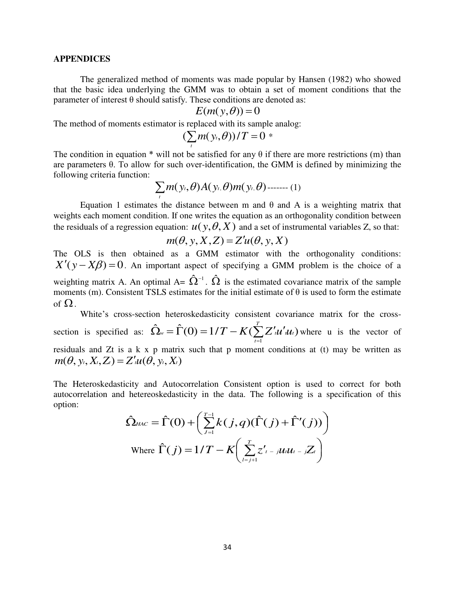#### **APPENDICES**

The generalized method of moments was made popular by Hansen (1982) who showed that the basic idea underlying the GMM was to obtain a set of moment conditions that the parameter of interest θ should satisfy. These conditions are denoted as:

$$
E(m(y, \theta)) = 0
$$

The method of moments estimator is replaced with its sample analog:

$$
(\sum_t m(y_t,\theta))/T=0*
$$

The condition in equation  $*$  will not be satisfied for any  $\theta$  if there are more restrictions (m) than are parameters θ. To allow for such over-identification, the GMM is defined by minimizing the following criteria function:

$$
\sum_t m(y_t, \theta) A(y_t, \theta) m(y_t, \theta) \dots (1)
$$

Equation 1 estimates the distance between m and θ and A is a weighting matrix that weights each moment condition. If one writes the equation as an orthogonality condition between the residuals of a regression equation:  $u(y, \theta, X)$  and a set of instrumental variables Z, so that:

$$
m(\theta, y, X, Z) = Z'u(\theta, y, X)
$$

The OLS is then obtained as a GMM estimator with the orthogonality conditions:  $X'(y - X\beta) = 0$ . An important aspect of specifying a GMM problem is the choice of a weighting matrix A. An optimal A=  $\hat{\Omega}^{-1}$ .  $\hat{\Omega}$  is the estimated covariance matrix of the sample moments (m). Consistent TSLS estimates for the initial estimate of  $\theta$  is used to form the estimate of  $\Omega$ .

White's cross-section heteroskedasticity consistent covariance matrix for the crosssection is specified as:  $\hat{\Omega}_{w} = \hat{\Gamma}(0) = 1/T - K(\sum Z'_{i}u'_{i}u_{i})$ 1 *t T*  $f_{w} = \hat{\Gamma}(0) = 1/T - K(\sum_{t=1}^{r} Z'_{t} u'_{t} u')$  $\hat{\Omega}_{w} = \hat{\Gamma}(0) = 1/T - K(\sum Z'_{i}u'_{i}u_{i})$  where u is the vector of residuals and Zt is a k x p matrix such that p moment conditions at (t) may be written as  $m(\theta, y_t, X_t, Z_t) = Z'_t u(\theta, y_t, X_t)$ 

The Heteroskedasticity and Autocorrelation Consistent option is used to correct for both autocorrelation and hetereoskedasticity in the data. The following is a specification of this option:

$$
\hat{\Omega}_{HAC} = \hat{\Gamma}(0) + \left(\sum_{j=1}^{T-1} k(j,q)(\hat{\Gamma}(j) + \hat{\Gamma}'(j))\right)
$$
  
Where 
$$
\hat{\Gamma}(j) = 1/T - K\left(\sum_{l=j+1}^{T} z'_{l-j} u_l u_{l-j} Z_l\right)
$$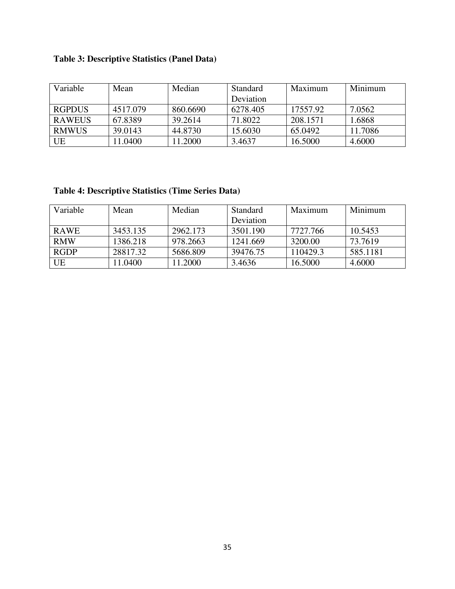# **Table 3: Descriptive Statistics (Panel Data)**

| Variable      | Mean     | Median   | <b>Standard</b> | Maximum  | Minimum |
|---------------|----------|----------|-----------------|----------|---------|
|               |          |          | Deviation       |          |         |
| <b>RGPDUS</b> | 4517.079 | 860.6690 | 6278.405        | 17557.92 | 7.0562  |
| <b>RAWEUS</b> | 67.8389  | 39.2614  | 71.8022         | 208.1571 | 1.6868  |
| <b>RMWUS</b>  | 39.0143  | 44.8730  | 15.6030         | 65.0492  | 11.7086 |
| UE            | 11.0400  | 11.2000  | 3.4637          | 16.5000  | 4.6000  |

# **Table 4: Descriptive Statistics (Time Series Data)**

| Variable    | Mean     | Median   | <b>Standard</b> | Maximum  | Minimum  |
|-------------|----------|----------|-----------------|----------|----------|
|             |          |          | Deviation       |          |          |
| <b>RAWE</b> | 3453.135 | 2962.173 | 3501.190        | 7727.766 | 10.5453  |
| <b>RMW</b>  | 1386.218 | 978.2663 | 1241.669        | 3200.00  | 73.7619  |
| <b>RGDP</b> | 28817.32 | 5686.809 | 39476.75        | 110429.3 | 585.1181 |
| UE          | 1.0400   | 11.2000  | 3.4636          | 16.5000  | 4.6000   |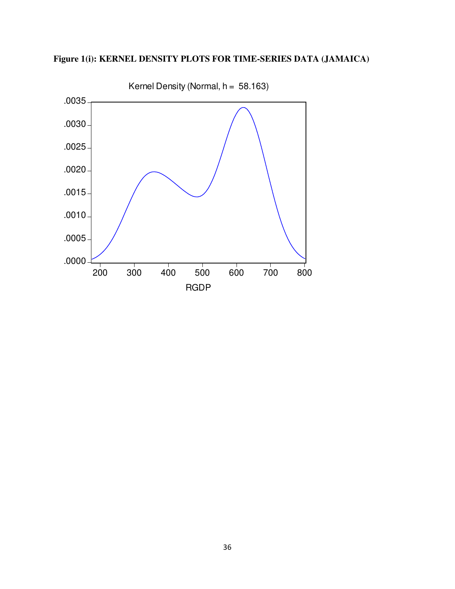

# **Figure 1(i): KERNEL DENSITY PLOTS FOR TIME-SERIES DATA (JAMAICA)**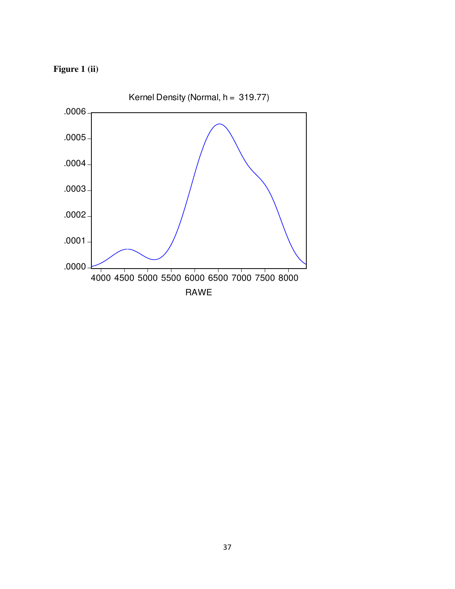# **Figure 1 (ii)**

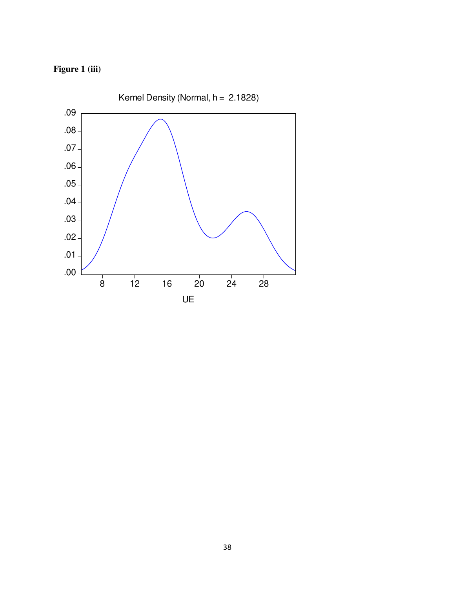# **Figure 1 (iii)**

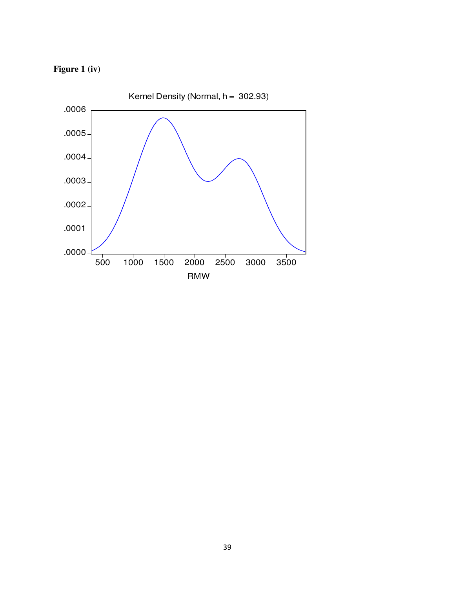

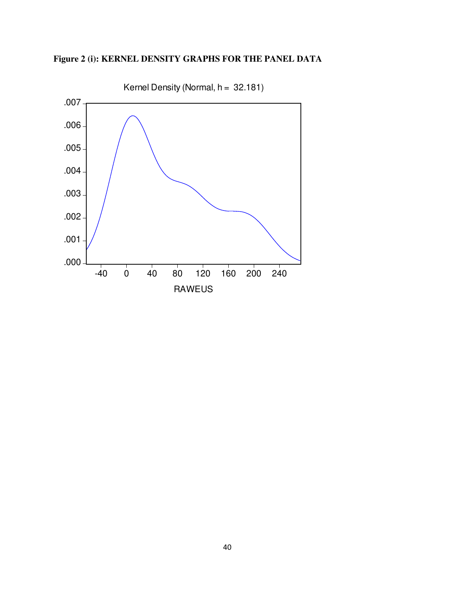

# **Figure 2 (i): KERNEL DENSITY GRAPHS FOR THE PANEL DATA**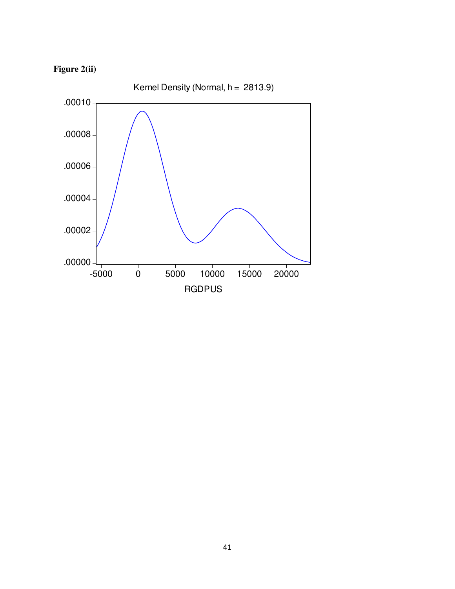

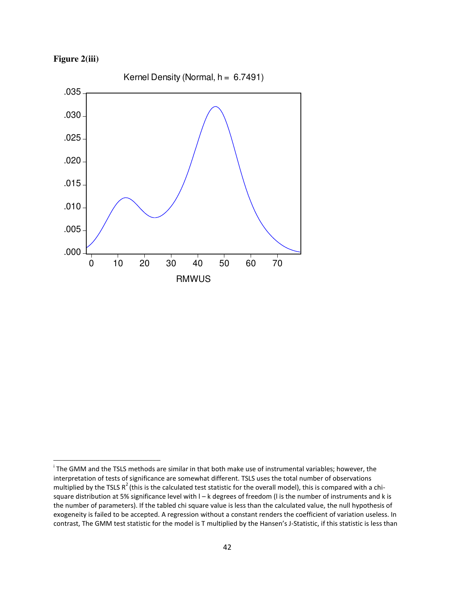

 $\overline{\phantom{0}}$ 



<sup>&</sup>lt;sup>i</sup> The GMM and the TSLS methods are similar in that both make use of instrumental variables; however, the interpretation of tests of significance are somewhat different. TSLS uses the total number of observations multiplied by the TSLS  $R^2$  (this is the calculated test statistic for the overall model), this is compared with a chisquare distribution at 5% significance level with  $I - k$  degrees of freedom (I is the number of instruments and k is the number of parameters). If the tabled chi square value is less than the calculated value, the null hypothesis of exogeneity is failed to be accepted. A regression without a constant renders the coefficient of variation useless. In contrast, The GMM test statistic for the model is T multiplied by the Hansen's J-Statistic, if this statistic is less than